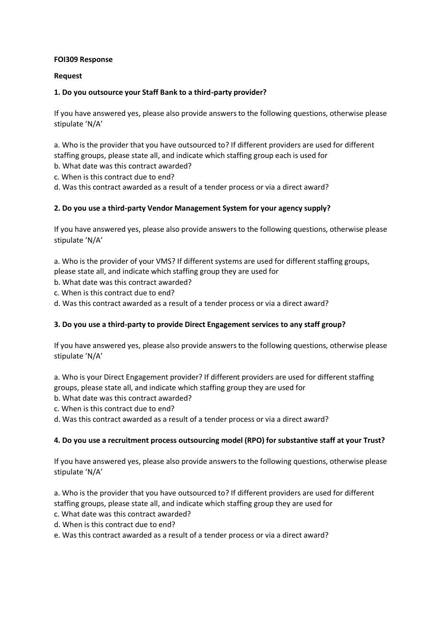### **FOI309 Response**

## **Request**

# **1. Do you outsource your Staff Bank to a third-party provider?**

If you have answered yes, please also provide answers to the following questions, otherwise please stipulate 'N/A'

a. Who is the provider that you have outsourced to? If different providers are used for different staffing groups, please state all, and indicate which staffing group each is used for

- b. What date was this contract awarded?
- c. When is this contract due to end?
- d. Was this contract awarded as a result of a tender process or via a direct award?

# **2. Do you use a third-party Vendor Management System for your agency supply?**

If you have answered yes, please also provide answers to the following questions, otherwise please stipulate 'N/A'

a. Who is the provider of your VMS? If different systems are used for different staffing groups, please state all, and indicate which staffing group they are used for

- b. What date was this contract awarded?
- c. When is this contract due to end?
- d. Was this contract awarded as a result of a tender process or via a direct award?

#### **3. Do you use a third-party to provide Direct Engagement services to any staff group?**

If you have answered yes, please also provide answers to the following questions, otherwise please stipulate 'N/A'

a. Who is your Direct Engagement provider? If different providers are used for different staffing groups, please state all, and indicate which staffing group they are used for

- b. What date was this contract awarded?
- c. When is this contract due to end?
- d. Was this contract awarded as a result of a tender process or via a direct award?

#### **4. Do you use a recruitment process outsourcing model (RPO) for substantive staff at your Trust?**

If you have answered yes, please also provide answers to the following questions, otherwise please stipulate 'N/A'

a. Who is the provider that you have outsourced to? If different providers are used for different staffing groups, please state all, and indicate which staffing group they are used for

- c. What date was this contract awarded?
- d. When is this contract due to end?
- e. Was this contract awarded as a result of a tender process or via a direct award?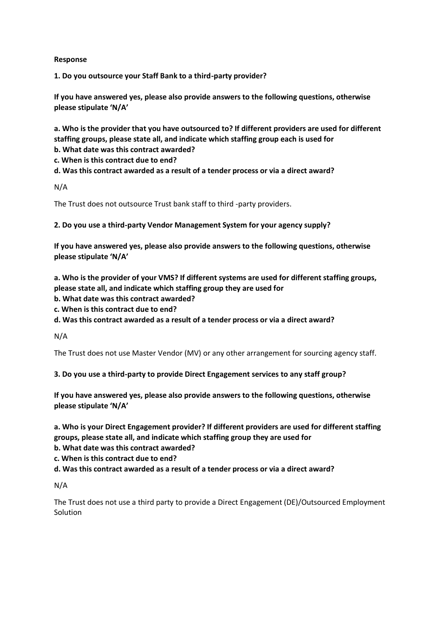## **Response**

**1. Do you outsource your Staff Bank to a third-party provider?** 

**If you have answered yes, please also provide answers to the following questions, otherwise please stipulate 'N/A'** 

**a. Who is the provider that you have outsourced to? If different providers are used for different staffing groups, please state all, and indicate which staffing group each is used for** 

**b. What date was this contract awarded?** 

**c. When is this contract due to end?** 

**d. Was this contract awarded as a result of a tender process or via a direct award?** 

N/A

The Trust does not outsource Trust bank staff to third -party providers.

**2. Do you use a third-party Vendor Management System for your agency supply?** 

**If you have answered yes, please also provide answers to the following questions, otherwise please stipulate 'N/A'** 

**a. Who is the provider of your VMS? If different systems are used for different staffing groups, please state all, and indicate which staffing group they are used for** 

- **b. What date was this contract awarded?**
- **c. When is this contract due to end?**

**d. Was this contract awarded as a result of a tender process or via a direct award?**

N/A

The Trust does not use Master Vendor (MV) or any other arrangement for sourcing agency staff.

**3. Do you use a third-party to provide Direct Engagement services to any staff group?** 

**If you have answered yes, please also provide answers to the following questions, otherwise please stipulate 'N/A'** 

**a. Who is your Direct Engagement provider? If different providers are used for different staffing groups, please state all, and indicate which staffing group they are used for** 

**b. What date was this contract awarded?** 

**c. When is this contract due to end?** 

**d. Was this contract awarded as a result of a tender process or via a direct award?**

N/A

The Trust does not use a third party to provide a Direct Engagement (DE)/Outsourced Employment Solution